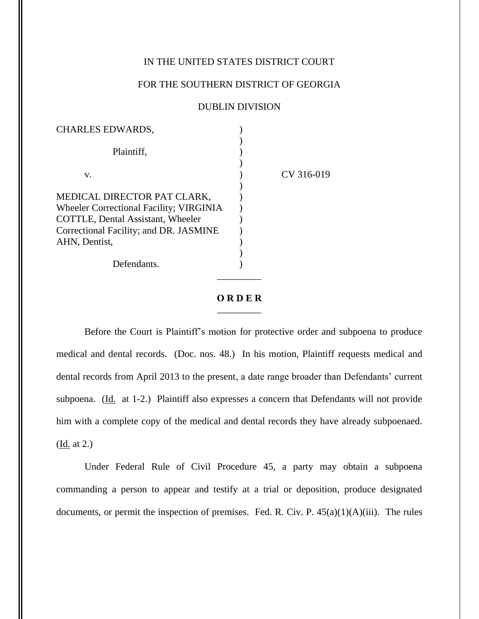## IN THE UNITED STATES DISTRICT COURT

## FOR THE SOUTHERN DISTRICT OF GEORGIA

## DUBLIN DIVISION

| <b>CHARLES EDWARDS,</b>                                                                                                                                                              |            |
|--------------------------------------------------------------------------------------------------------------------------------------------------------------------------------------|------------|
| Plaintiff,                                                                                                                                                                           |            |
| V.                                                                                                                                                                                   | CV 316-019 |
| MEDICAL DIRECTOR PAT CLARK,<br><b>Wheeler Correctional Facility; VIRGINIA</b><br><b>COTTLE, Dental Assistant, Wheeler</b><br>Correctional Facility; and DR. JASMINE<br>AHN, Dentist, |            |
| Defendants.                                                                                                                                                                          |            |

## **O R D E R** \_\_\_\_\_\_\_\_\_

Before the Court is Plaintiff's motion for protective order and subpoena to produce medical and dental records. (Doc. nos. 48.) In his motion, Plaintiff requests medical and dental records from April 2013 to the present, a date range broader than Defendants' current subpoena. (Id. at 1-2.) Plaintiff also expresses a concern that Defendants will not provide him with a complete copy of the medical and dental records they have already subpoenaed. (Id. at 2.)

Under Federal Rule of Civil Procedure 45, a party may obtain a subpoena commanding a person to appear and testify at a trial or deposition, produce designated documents, or permit the inspection of premises. Fed. R. Civ. P.  $45(a)(1)(A)(iii)$ . The rules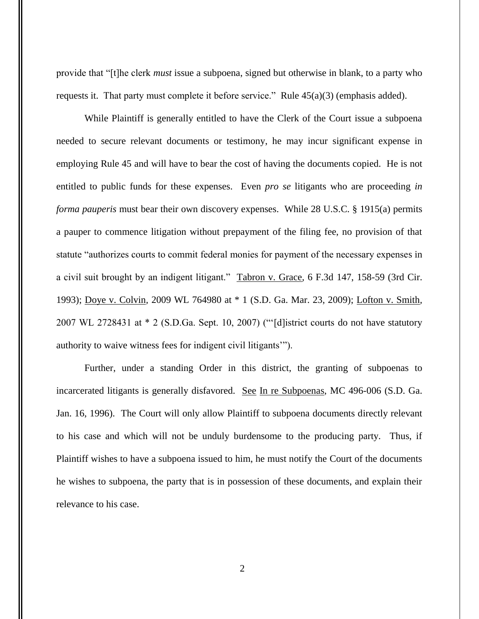provide that "[t]he clerk *must* issue a subpoena, signed but otherwise in blank, to a party who requests it. That party must complete it before service." Rule 45(a)(3) (emphasis added).

While Plaintiff is generally entitled to have the Clerk of the Court issue a subpoena needed to secure relevant documents or testimony, he may incur significant expense in employing Rule 45 and will have to bear the cost of having the documents copied. He is not entitled to public funds for these expenses. Even *pro se* litigants who are proceeding *in forma pauperis* must bear their own discovery expenses. While 28 U.S.C. § 1915(a) permits a pauper to commence litigation without prepayment of the filing fee, no provision of that statute "authorizes courts to commit federal monies for payment of the necessary expenses in a civil suit brought by an indigent litigant." Tabron v. Grace*,* 6 F.3d 147, 158-59 (3rd Cir. 1993); Doye v. Colvin*,* 2009 WL 764980 at \* 1 (S.D. Ga. Mar. 23, 2009); Lofton v. Smith*,* 2007 WL 2728431 at \* 2 (S.D.Ga. Sept. 10, 2007) ("'[d]istrict courts do not have statutory authority to waive witness fees for indigent civil litigants'").

Further, under a standing Order in this district, the granting of subpoenas to incarcerated litigants is generally disfavored. See In re Subpoenas, MC 496-006 (S.D. Ga. Jan. 16, 1996). The Court will only allow Plaintiff to subpoena documents directly relevant to his case and which will not be unduly burdensome to the producing party. Thus, if Plaintiff wishes to have a subpoena issued to him, he must notify the Court of the documents he wishes to subpoena, the party that is in possession of these documents, and explain their relevance to his case.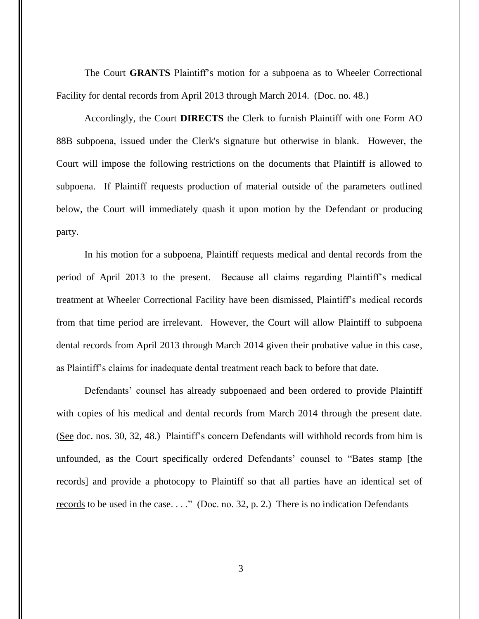The Court **GRANTS** Plaintiff's motion for a subpoena as to Wheeler Correctional Facility for dental records from April 2013 through March 2014. (Doc. no. 48.)

Accordingly, the Court **DIRECTS** the Clerk to furnish Plaintiff with one Form AO 88B subpoena, issued under the Clerk's signature but otherwise in blank. However, the Court will impose the following restrictions on the documents that Plaintiff is allowed to subpoena. If Plaintiff requests production of material outside of the parameters outlined below, the Court will immediately quash it upon motion by the Defendant or producing party.

In his motion for a subpoena, Plaintiff requests medical and dental records from the period of April 2013 to the present. Because all claims regarding Plaintiff's medical treatment at Wheeler Correctional Facility have been dismissed, Plaintiff's medical records from that time period are irrelevant. However, the Court will allow Plaintiff to subpoena dental records from April 2013 through March 2014 given their probative value in this case, as Plaintiff's claims for inadequate dental treatment reach back to before that date.

Defendants' counsel has already subpoenaed and been ordered to provide Plaintiff with copies of his medical and dental records from March 2014 through the present date. (See doc. nos. 30, 32, 48.) Plaintiff's concern Defendants will withhold records from him is unfounded, as the Court specifically ordered Defendants' counsel to "Bates stamp [the records] and provide a photocopy to Plaintiff so that all parties have an identical set of records to be used in the case. . . ." (Doc. no. 32, p. 2.) There is no indication Defendants